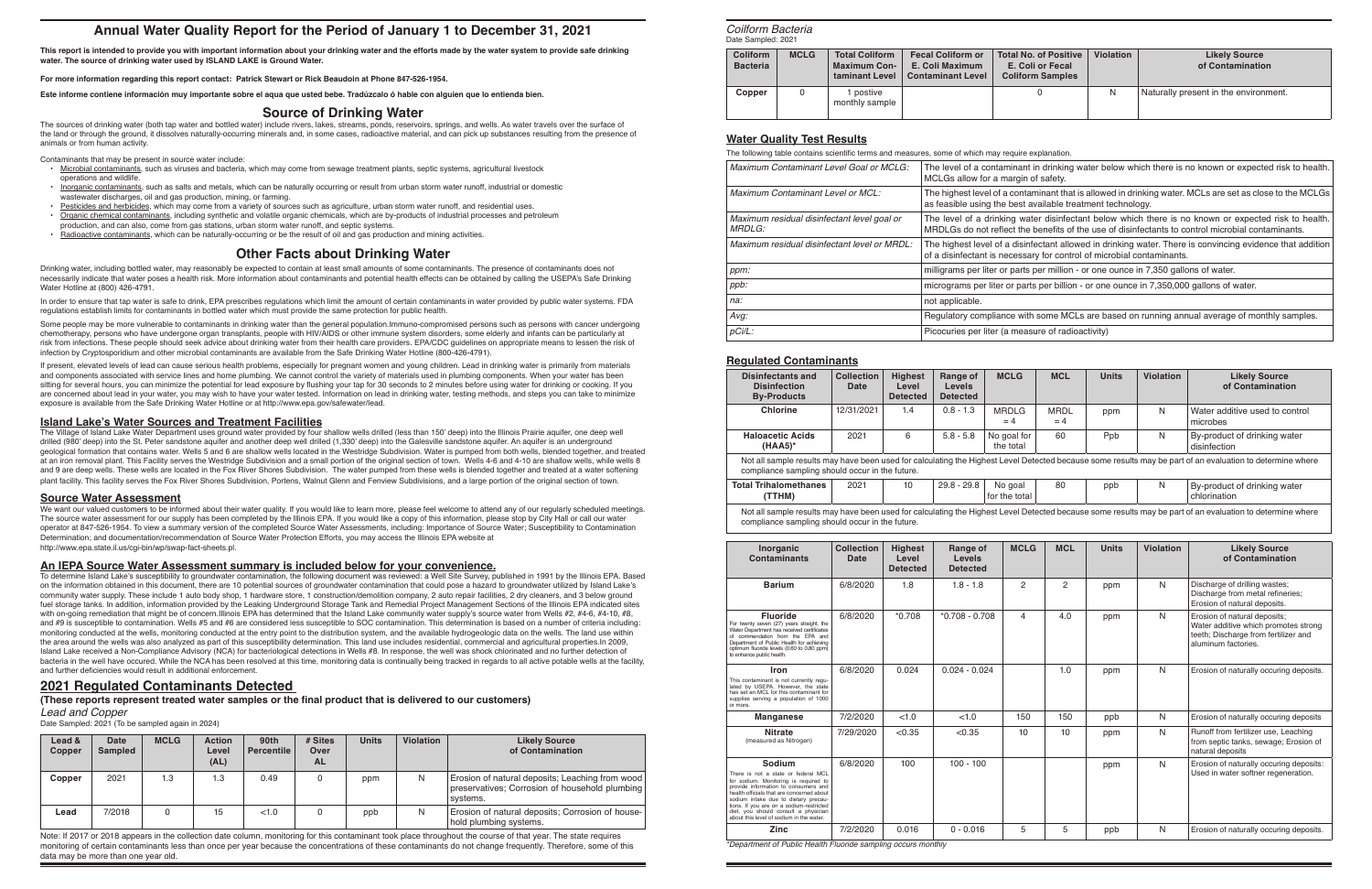# **Annual Water Quality Report for the Period of January 1 to December 31, 2021**

**This report is intended to provide you with important information about your drinking water and the efforts made by the water system to provide safe drinking water. The source of drinking water used by ISLAND LAKE is Ground Water.**

**For more information regarding this report contact: Patrick Stewart or Rick Beaudoin at Phone 847-526-1954.**

**Este informe contiene información muy importante sobre el aqua que usted bebe. Tradúzcalo ó hable con alguien que lo entienda bien.**

### **Source of Drinking Water**

The sources of drinking water (both tap water and bottled water) include rivers, lakes, streams, ponds, reservoirs, springs, and wells. As water travels over the surface of the land or through the ground, it dissolves naturally-occurring minerals and, in some cases, radioactive material, and can pick up substances resulting from the presence of animals or from human activity.

Contaminants that may be present in source water include:

- Microbial contaminants, such as viruses and bacteria, which may come from sewage treatment plants, septic systems, agricultural livestock operations and wildlife.
- Inorganic contaminants, such as salts and metals, which can be naturally occurring or result from urban storm water runoff, industrial or domestic wastewater discharges, oil and gas production, mining, or farming.
- Pesticides and herbicides, which may come from a variety of sources such as agriculture, urban storm water runoff, and residential uses.
- Organic chemical contaminants, including synthetic and volatile organic chemicals, which are by-products of industrial processes and petroleum
- production, and can also, come from gas stations, urban storm water runoff, and septic systems.
- Radioactive contaminants, which can be naturally-occurring or be the result of oil and gas production and mining activities.

# **Other Facts about Drinking Water**

Drinking water, including bottled water, may reasonably be expected to contain at least small amounts of some contaminants. The presence of contaminants does not necessarily indicate that water poses a health risk. More information about contaminants and potential health effects can be obtained by calling the USEPA's Safe Drinking Water Hotline at (800) 426-4791.

In order to ensure that tap water is safe to drink, EPA prescribes regulations which limit the amount of certain contaminants in water provided by public water systems. FDA regulations establish limits for contaminants in bottled water which must provide the same protection for public health.

We want our valued customers to be informed about their water quality. If you would like to learn more, please feel welcome to attend any of our reqularly scheduled meetings. The source water assessment for our supply has been completed by the Illinois EPA. If you would like a copy of this information, please stop by City Hall or call our water operator at 847-526-1954. To view a summary version of the completed Source Water Assessments, including: Importance of Source Water; Susceptibility to Contamination Determination; and documentation/recommendation of Source Water Protection Efforts, you may access the Illinois EPA website at http://www.epa.state.il.us/cgi-bin/wp/swap-fact-sheets.pl.

Some people may be more vulnerable to contaminants in drinking water than the general population.Immuno-compromised persons such as persons with cancer undergoing chemotherapy, persons who have undergone organ transplants, people with HIV/AIDS or other immune system disorders, some elderly and infants can be particularly at risk from infections. These people should seek advice about drinking water from their health care providers. EPA/CDC guidelines on appropriate means to lessen the risk of infection by Cryptosporidium and other microbial contaminants are available from the Safe Drinking Water Hotline (800-426-4791).

If present, elevated levels of lead can cause serious health problems, especially for pregnant women and young children. Lead in drinking water is primarily from materials and components associated with service lines and home plumbing. We cannot control the variety of materials used in plumbing components. When your water has been sitting for several hours, you can minimize the potential for lead exposure by flushing your tap for 30 seconds to 2 minutes before using water for drinking or cooking. If you are concerned about lead in your water, you may wish to have your water tested. Information on lead in drinking water, testing methods, and steps you can take to minimize exposure is available from the Safe Drinking Water Hotline or at http://www.epa.gov/safewater/lead.

To determine Island Lake's susceptibility to groundwater contamination, the following document was reviewed: a Well Site Survey, published in 1991 by the Illinois EPA. Based on the information obtained in this document, there are 10 potential sources of groundwater contamination that could pose a hazard to groundwater utilized by Island Lake's community water supply. These include 1 auto body shop, 1 hardware store, 1 construction/demolition company, 2 auto repair facilities, 2 dry cleaners, and 3 below ground fuel storage tanks. In addition, information provided by the Leaking Underground Storage Tank and Remedial Project Management Sections of the Illinois EPA indicated sites with on-going remediation that might be of concern.Illinois EPA has determined that the Island Lake community water supply's source water from Wells #2, #4-6, #4-10, #8, and #9 is susceptible to contamination. Wells #5 and #6 are considered less susceptible to SOC contamination. This determination is based on a number of criteria including: monitoring conducted at the wells, monitoring conducted at the entry point to the distribution system, and the available hydrogeologic data on the wells. The land use within the area around the wells was also analyzed as part of this susceptibility determination. This land use includes residential, commercial and agricultural properties.In 2009, Island Lake received a Non-Compliance Advisory (NCA) for bacteriological detections in Wells #8. In response, the well was shock chlorinated and no further detection of bacteria in the well have occured. While the NCA has been resolved at this time, monitoring data is continually being tracked in regards to all active potable wells at the facility, and further deficiencies would result in additional enforcement.

#### **Island Lake's Water Sources and Treatment Facilities**

*Maximum Contaminant Level Goal or MCLG:* The level of a contaminant in drinking water below which there is no known or expected risk to health. nargin of safety.

contaminant that is allowed in drinking water. MCLs are set as close to the MCLGs best available treatment technology.

ing water disinfectant below which there is no known or expected risk to health. ect the benefits of the use of disinfectants to control microbial contaminants.

a disinfectant allowed in drinking water. There is convincing evidence that addition ecessary for control of microbial contaminants.

parts per million - or one ounce in 7,350 gallons of water.

*prices* per billion - or one ounce in 7,350,000 gallons of water.

*Ace with some MCLs are based on running annual average of monthly samples. measure of radioactivity)* 

The Village of Island Lake Water Department uses ground water provided by four shallow wells drilled (less than 150' deep) into the Illinois Prairie aquifer, one deep well drilled (980' deep) into the St. Peter sandstone aquifer and another deep well drilled (1,330' deep) into the Galesville sandstone aquifer. An aquifer is an underground geological formation that contains water. Wells 5 and 6 are shallow wells located in the Westridge Subdivision. Water is pumped from both wells, blended together, and treated at an iron removal plant. This Facility serves the Westridge Subdivision and a small portion of the original section of town. Wells 4-6 and 4-10 are shallow wells, while wells 8 and 9 are deep wells. These wells are located in the Fox River Shores Subdivision. The water pumped from these wells is blended together and treated at a water softening plant facility. This facility serves the Fox River Shores Subdivision, Portens, Walnut Glenn and Fenview Subdivisions, and a large portion of the original section of town.

#### **Source Water Assessment**

### **An IEPA Source Water Assessment summary is included below for your convenience.**

### **2021 Regulated Contaminants Detected**

**(These reports represent treated water samples or the final product that is delivered to our customers)**

*Lead and Copper*

Date Sampled: 2021 (To be sampled again in 2024)

| Lead &<br>Copper | Date<br><b>Sampled</b> | <b>MCLG</b> | <b>Action</b><br>Level<br>(AL) | 90th<br><b>Percentile</b> | $#$ Sites<br>Over<br><b>AL</b> | <b>Units</b> | <b>Violation</b> | <b>Likely Source</b><br>of Contamination                                                                      |
|------------------|------------------------|-------------|--------------------------------|---------------------------|--------------------------------|--------------|------------------|---------------------------------------------------------------------------------------------------------------|
| Copper           | 2021                   | 1.3         | 1.3                            | 0.49                      |                                | ppm          | N                | Erosion of natural deposits; Leaching from wood<br>preservatives; Corrosion of household plumbing<br>systems. |
| Lead             | 7/2018                 |             | 15                             | <1.0                      |                                | ppb          | N                | Erosion of natural deposits; Corrosion of house-<br>hold plumbing systems.                                    |

| <b>Coliform</b><br><b>Bacteria</b> | <b>MCLG</b> | <b>Total Coliform</b><br>Maximum Con-<br>taminant Level | <b>Fecal Coliform or</b><br>E. Coli Maximum<br><b>Contaminant Level</b> | <b>Total No. of Positive</b><br>E. Coli or Fecal<br><b>Coliform Samples</b> | Violation | <b>Likely Source</b><br>of Contamination |
|------------------------------------|-------------|---------------------------------------------------------|-------------------------------------------------------------------------|-----------------------------------------------------------------------------|-----------|------------------------------------------|
| Copper                             |             | postive<br>monthly sample                               |                                                                         |                                                                             | N         | Naturally present in the environment.    |

| Maximum Contaminant Level Goal or MCLG:                      | The level of a contan<br>MCLGs allow for a m      |
|--------------------------------------------------------------|---------------------------------------------------|
| <b>Maximum Contaminant Level or MCL:</b>                     | The highest level of a<br>as feasible using the   |
| Maximum residual disinfectant level goal or<br><b>MRDLG:</b> | The level of a drinkin<br>MRDLGs do not refle     |
| Maximum residual disinfectant level or MRDL:                 | The highest level of a<br>of a disinfectant is ne |
| ppm:                                                         | milligrams per liter or                           |
| ppb:                                                         | micrograms per liter o                            |
| na:                                                          | not applicable.                                   |
| Avg:                                                         | Regulatory compliand                              |
| pCi/L:                                                       | Picocuries per liter (a                           |
|                                                              |                                                   |

| Disinfectants and<br><b>Disinfection</b><br><b>By-Products</b> | <b>Collection</b><br>Date | <b>Highest</b><br>Level<br><b>Detected</b> | Range of<br><b>Levels</b><br><b>Detected</b> | <b>MCLG</b>              | <b>MCL</b>          | <b>Units</b> | <b>Violation</b> | <b>Likely Source</b><br>of Contamination                                                                                                                  |
|----------------------------------------------------------------|---------------------------|--------------------------------------------|----------------------------------------------|--------------------------|---------------------|--------------|------------------|-----------------------------------------------------------------------------------------------------------------------------------------------------------|
| <b>Chlorine</b>                                                | 12/31/2021                | 1.4                                        | $0.8 - 1.3$                                  | <b>MRDLG</b><br>$=4$     | <b>MRDL</b><br>$=4$ | ppm          | N                | Water additive used to control<br>microbes                                                                                                                |
| <b>Haloacetic Acids</b><br>$(HAA5)^*$                          | 2021                      | 6                                          | $5.8 - 5.8$                                  | No goal for<br>the total | 60                  | Ppb          | N                | By-product of drinking water<br>disinfection                                                                                                              |
| compliance sampling should occur in the future.                |                           |                                            |                                              |                          |                     |              |                  | Not all sample results may have been used for calculating the Highest Level Detected because some results may be part of an evaluation to determine where |
| <b>Total Trihalomethanes</b><br>(TTHM)                         | 2021                      | 10                                         | $29.8 - 29.8$                                | No goal<br>for the total | 80                  | ppb          | N                | By-product of drinking water<br>chlorination                                                                                                              |

| Disinfectants and<br><b>Disinfection</b><br><b>By-Products</b> | <b>Collection</b><br>Date                                                                                                                                                                                    | <b>Highest</b><br>Level<br><b>Detected</b> | Range of<br><b>Levels</b><br><b>Detected</b> | <b>MCLG</b>              | <b>MCL</b>          | <b>Units</b> | <b>Violation</b> | <b>Likely Source</b><br>of Contamination     |  |
|----------------------------------------------------------------|--------------------------------------------------------------------------------------------------------------------------------------------------------------------------------------------------------------|--------------------------------------------|----------------------------------------------|--------------------------|---------------------|--------------|------------------|----------------------------------------------|--|
| <b>Chlorine</b>                                                | 12/31/2021                                                                                                                                                                                                   | 1.4                                        | $0.8 - 1.3$                                  | MRDI G<br>$= 4$          | <b>MRDL</b><br>$=4$ | ppm          | N                | Water additive used to control<br>microbes   |  |
| <b>Haloacetic Acids</b><br>$(HAA5)^*$                          | 2021                                                                                                                                                                                                         | 6                                          | $5.8 - 5.8$                                  | No goal for<br>the total | 60                  | Ppb          | N                | By-product of drinking water<br>disinfection |  |
|                                                                | Not all sample results may have been used for calculating the Highest Level Detected because some results may be part of an evaluation to determine where<br>compliance sampling should occur in the future. |                                            |                                              |                          |                     |              |                  |                                              |  |
| <b>Total Trihalomethanes</b><br>(TTHM)                         | 2021                                                                                                                                                                                                         | 10                                         | $29.8 - 29.8$                                | No goal<br>for the total | 80                  | ppb          | N                | By-product of drinking water<br>chlorination |  |

Not all sample results may have been used for calculating the Highest Level Detected because some results may be part of an evaluation to determine where compliance sampling should occur in the future.

| Inorganic<br><b>Contaminants</b>                                                                                                                                                                                                                                                                                                                    | <b>Collection</b><br><b>Date</b> | <b>Highest</b><br>Level<br><b>Detected</b> | Range of<br>Levels<br><b>Detected</b> | <b>MCLG</b>    | <b>MCL</b> | <b>Units</b> | <b>Violation</b> | <b>Likely Source</b><br>of Contamination                                                                                            |
|-----------------------------------------------------------------------------------------------------------------------------------------------------------------------------------------------------------------------------------------------------------------------------------------------------------------------------------------------------|----------------------------------|--------------------------------------------|---------------------------------------|----------------|------------|--------------|------------------|-------------------------------------------------------------------------------------------------------------------------------------|
| <b>Barium</b>                                                                                                                                                                                                                                                                                                                                       | 6/8/2020                         | 1.8                                        | $1.8 - 1.8$                           | $\overline{2}$ | 2          | ppm          | N                | Discharge of drilling wastes;<br>Discharge from metal refineries;<br>Erosion of natural deposits.                                   |
| <b>Fluoride</b><br>For twenty seven (27) years straight, the<br>Water Department has received certificates<br>of commendation from the EPA and<br>Department of Public Health for achieving<br>optimum fluoride levels (0.60 to 0.80 ppm)<br>to enhance public health.                                                                              | 6/8/2020                         | $*0.708$                                   | $*0.708 - 0.708$                      | 4              | 4.0        | ppm          | N                | Erosion of natural deposits;<br>Water additive which promotes strong<br>teeth; Discharge from fertilizer and<br>aluminum factories. |
| Iron<br>This contaminant is not currently requ-<br>lated by USEPA. However, the state<br>has set an MCL for this contaminant for<br>supplies serving a population of 1000<br>or more.                                                                                                                                                               | 6/8/2020                         | 0.024                                      | $0.024 - 0.024$                       |                | 1.0        | ppm          | N                | Erosion of naturally occuring deposits.                                                                                             |
| <b>Manganese</b>                                                                                                                                                                                                                                                                                                                                    | 7/2/2020                         | < 1.0                                      | < 1.0                                 | 150            | 150        | ppb          | N                | Erosion of naturally occuring deposits                                                                                              |
| <b>Nitrate</b><br>(measured as Nitrogen)                                                                                                                                                                                                                                                                                                            | 7/29/2020                        | < 0.35                                     | < 0.35                                | 10             | 10         | ppm          | N                | Runoff from fertilizer use, Leaching<br>from septic tanks, sewage; Erosion of<br>natural deposits                                   |
| Sodium<br>There is not a state or federal MCL<br>for sodium. Monitoring is required to<br>provide information to consumers and<br>health officials that are concerned about<br>sodium intake due to dietary precau-<br>tions. If you are on a sodium-restricted<br>diet, you should consult a physician<br>about this level of sodium in the water. | 6/8/2020                         | 100                                        | $100 - 100$                           |                |            | ppm          | N                | Erosion of naturally occuring deposits:<br>Used in water softner regeneration.                                                      |
| <b>Zinc</b>                                                                                                                                                                                                                                                                                                                                         | 7/2/2020                         | 0.016                                      | $0 - 0.016$                           | 5              | 5          | ppb          | N                | Erosion of naturally occuring deposits.                                                                                             |

*\*Department of Public Health Fluoride sampling occurs monthly*

#### **Water Quality Test Results**

The following table contains scientific terms and measures, some of which may require explanation.

#### **Regulated Contaminants**

Note: If 2017 or 2018 appears in the collection date column, monitoring for this contaminant took place throughout the course of that year. The state requires monitoring of certain contaminants less than once per year because the concentrations of these contaminants do not change frequently. Therefore, some of this data may be more than one year old.

*Coilform Bacteria* Date Sampled: 2021